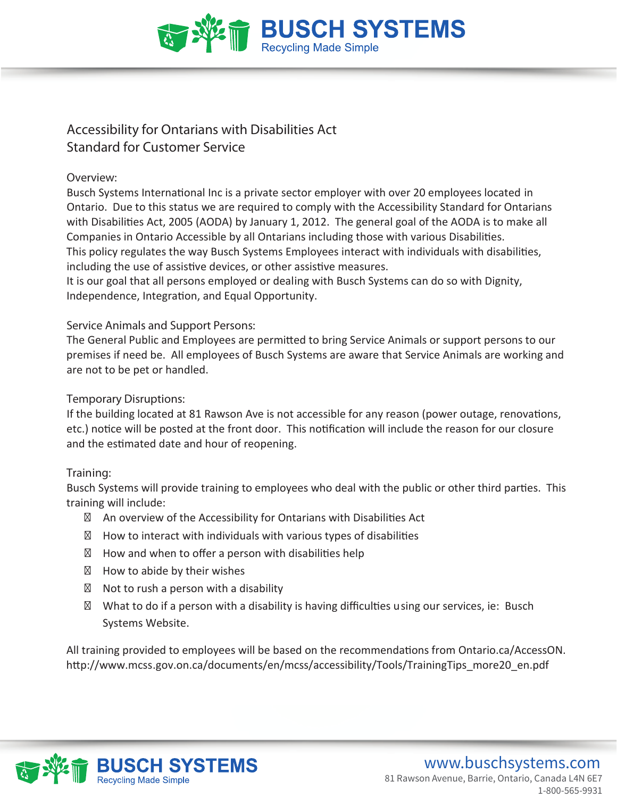

# **Accessibility for Ontarians with Disabilities Act Standard for Customer Service**

## **Overview:**

Busch Systems International Inc is a private sector employer with over 20 employees located in Ontario. Due to this status we are required to comply with the Accessibility Standard for Ontarians with Disabilities Act, 2005 (AODA) by January 1, 2012. The general goal of the AODA is to make all Companies in Ontario Accessible by all Ontarians including those with various Disabilities. This policy regulates the way Busch Systems Employees interact with individuals with disabilities, including the use of assistive devices, or other assistive measures.

It is our goal that all persons employed or dealing with Busch Systems can do so with Dignity, Independence, Integration, and Equal Opportunity.

## **Service Animals and Support Persons:**

The General Public and Employees are permitted to bring Service Animals or support persons to our premises if need be. All employees of Busch Systems are aware that Service Animals are working and are not to be pet or handled.

## **Temporary Disruptions:**

If the building located at 81 Rawson Ave is not accessible for any reason (power outage, renovations, etc.) notice will be posted at the front door. This notification will include the reason for our closure and the estimated date and hour of reopening.

#### **Training:**

Busch Systems will provide training to employees who deal with the public or other third parties. This training will include:

An overview of the Accessibility for Ontarians with Disabilities Act

How to interact with individuals with various types of disabilities

How and when to offer a person with disabilities help

How to abide by their wishes

Not to rush a person with a disability

What to do if a person with a disability is having difficulties using our services, ie: Busch Systems Website.

All training provided to employees will be based on the recommendations from Ontario.ca/AccessON. http://www.mcss.gov.on.ca/documents/en/mcss/accessibility/Tools/TrainingTips\_more20\_en.pdf

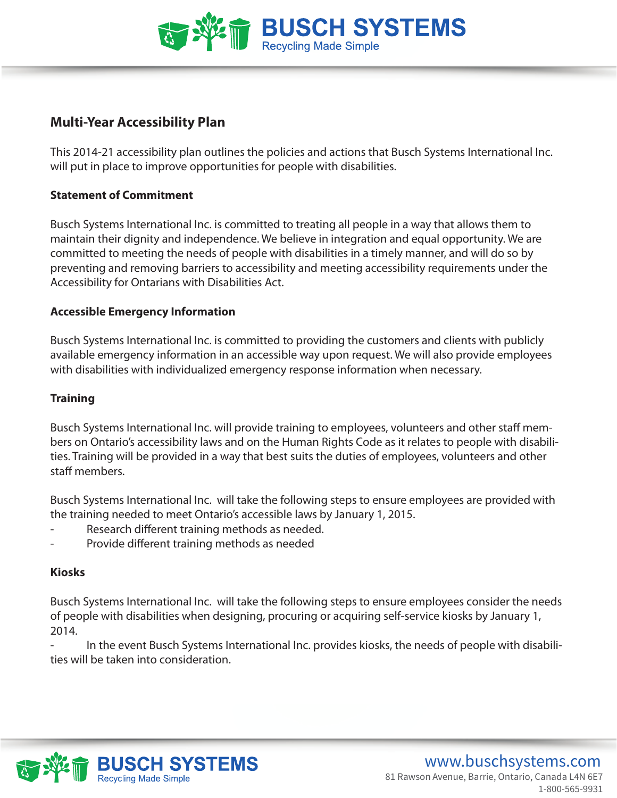

# **Multi-Year Accessibility Plan**

This 2014-21 accessibility plan outlines the policies and actions that Busch Systems International Inc. will put in place to improve opportunities for people with disabilities.

### **Statement of Commitment**

Busch Systems International Inc. is committed to treating all people in a way that allows them to maintain their dignity and independence. We believe in integration and equal opportunity. We are committed to meeting the needs of people with disabilities in a timely manner, and will do so by preventing and removing barriers to accessibility and meeting accessibility requirements under the Accessibility for Ontarians with Disabilities Act.

#### **Accessible Emergency Information**

Busch Systems International Inc. is committed to providing the customers and clients with publicly available emergency information in an accessible way upon request. We will also provide employees with disabilities with individualized emergency response information when necessary.

#### **Training**

Busch Systems International Inc. will provide training to employees, volunteers and other staff members on Ontario's accessibility laws and on the Human Rights Code as it relates to people with disabilities. Training will be provided in a way that best suits the duties of employees, volunteers and other staff members.

Busch Systems International Inc. will take the following steps to ensure employees are provided with the training needed to meet Ontario's accessible laws by January 1, 2015.

- Research different training methods as needed.
- Provide different training methods as needed

#### **Kiosks**

Busch Systems International Inc. will take the following steps to ensure employees consider the needs of people with disabilities when designing, procuring or acquiring self-service kiosks by January 1, 2014.

- In the event Busch Systems International Inc. provides kiosks, the needs of people with disabilities will be taken into consideration.

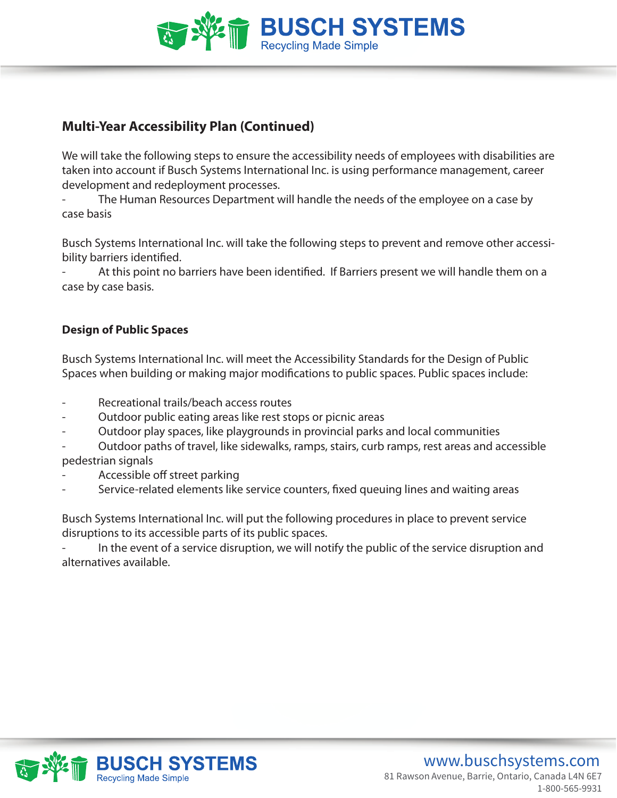

# **Multi-Year Accessibility Plan (Continued)**

We will take the following steps to ensure the accessibility needs of employees with disabilities are taken into account if Busch Systems International Inc. is using performance management, career development and redeployment processes.

The Human Resources Department will handle the needs of the employee on a case by case basis

Busch Systems International Inc. will take the following steps to prevent and remove other accessibility barriers identified.

At this point no barriers have been identified. If Barriers present we will handle them on a case by case basis.

# **Design of Public Spaces**

Busch Systems International Inc. will meet the Accessibility Standards for the Design of Public Spaces when building or making major modifications to public spaces. Public spaces include:

- Recreational trails/beach access routes
- Outdoor public eating areas like rest stops or picnic areas
- Outdoor play spaces, like playgrounds in provincial parks and local communities

- Outdoor paths of travel, like sidewalks, ramps, stairs, curb ramps, rest areas and accessible pedestrian signals

- Accessible off street parking
- Service-related elements like service counters, fixed queuing lines and waiting areas

Busch Systems International Inc. will put the following procedures in place to prevent service disruptions to its accessible parts of its public spaces.

In the event of a service disruption, we will notify the public of the service disruption and alternatives available.

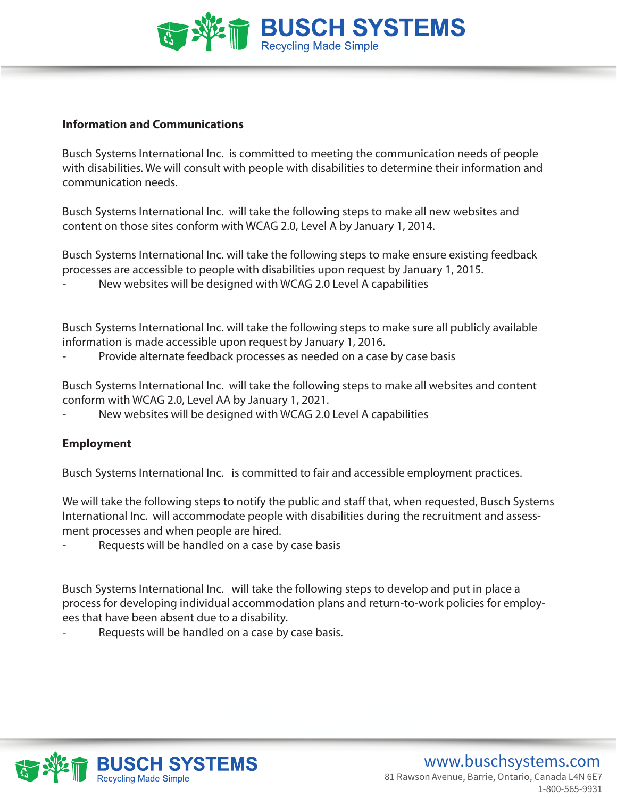

#### **Information and Communications**

Busch Systems International Inc. is committed to meeting the communication needs of people with disabilities. We will consult with people with disabilities to determine their information and communication needs.

Busch Systems International Inc. will take the following steps to make all new websites and content on those sites conform with WCAG 2.0, Level A by January 1, 2014.

Busch Systems International Inc. will take the following steps to make ensure existing feedback processes are accessible to people with disabilities upon request by January 1, 2015.

New websites will be designed with WCAG 2.0 Level A capabilities

Busch Systems International Inc. will take the following steps to make sure all publicly available information is made accessible upon request by January 1, 2016.

Provide alternate feedback processes as needed on a case by case basis

Busch Systems International Inc. will take the following steps to make all websites and content conform with WCAG 2.0, Level AA by January 1, 2021.

New websites will be designed with WCAG 2.0 Level A capabilities

#### **Employment**

Busch Systems International Inc. is committed to fair and accessible employment practices.

We will take the following steps to notify the public and staff that, when requested, Busch Systems International Inc. will accommodate people with disabilities during the recruitment and assessment processes and when people are hired.

Requests will be handled on a case by case basis

Busch Systems International Inc. will take the following steps to develop and put in place a process for developing individual accommodation plans and return-to-work policies for employees that have been absent due to a disability.

Requests will be handled on a case by case basis.